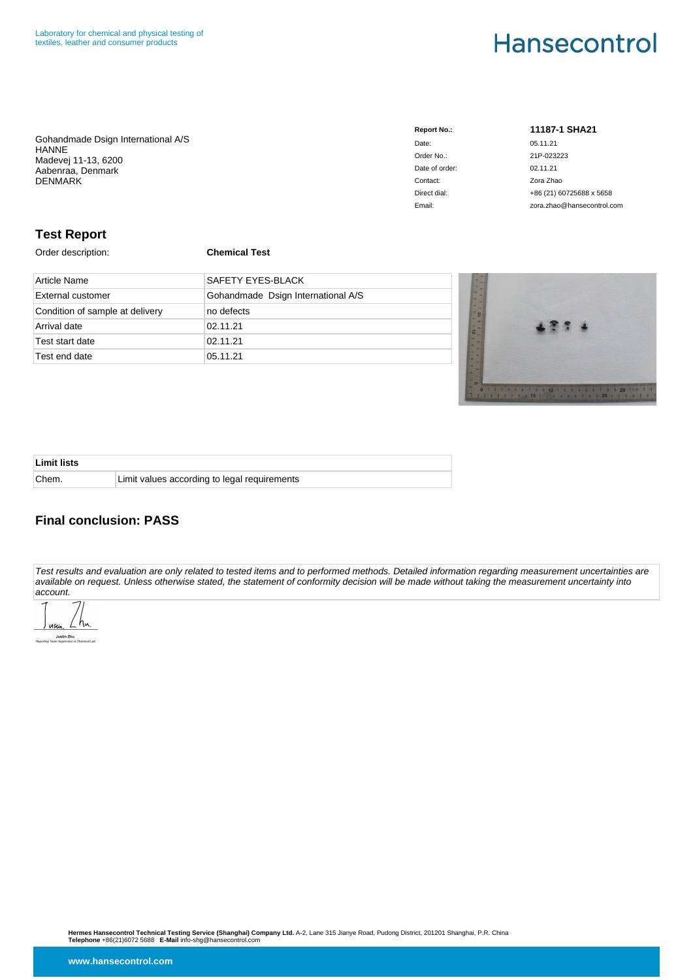Gohandmade Dsign International A/S HANNE Madevej 11-13, 6200 Aabenraa, Denmark DENMARK

| <b>Report No.:</b> |
|--------------------|
| Date:              |
| Order No.:         |
| Date of order:     |
| Contact:           |
| Direct dial:       |
| Email:             |

**Report No.: 11187-1 SHA21**

05.11.21 Order No.: 21P-023223  $02.11.21$ Zora Zhao +86 (21) 60725688 x 5658 zora.zhao@hansecontrol.com

### **Test Report**

Order description: **Chemical Test**

| Article Name                    | <b>SAFETY EYES-BLACK</b>           |
|---------------------------------|------------------------------------|
| <b>External customer</b>        | Gohandmade Dsign International A/S |
| Condition of sample at delivery | no defects                         |
| Arrival date                    | 02.11.21                           |
| Test start date                 | 02.11.21                           |
| Test end date                   | 05.11.21                           |



| <b>Limit lists</b> |                                              |
|--------------------|----------------------------------------------|
| Chem.              | Limit values according to legal requirements |

## **Final conclusion: PASS**

Test results and evaluation are only related to tested items and to performed methods. Detailed information regarding measurement uncertainties are available on request. Unless otherwise stated, the statement of conformity decision will be made without taking the measurement uncertainty into account.

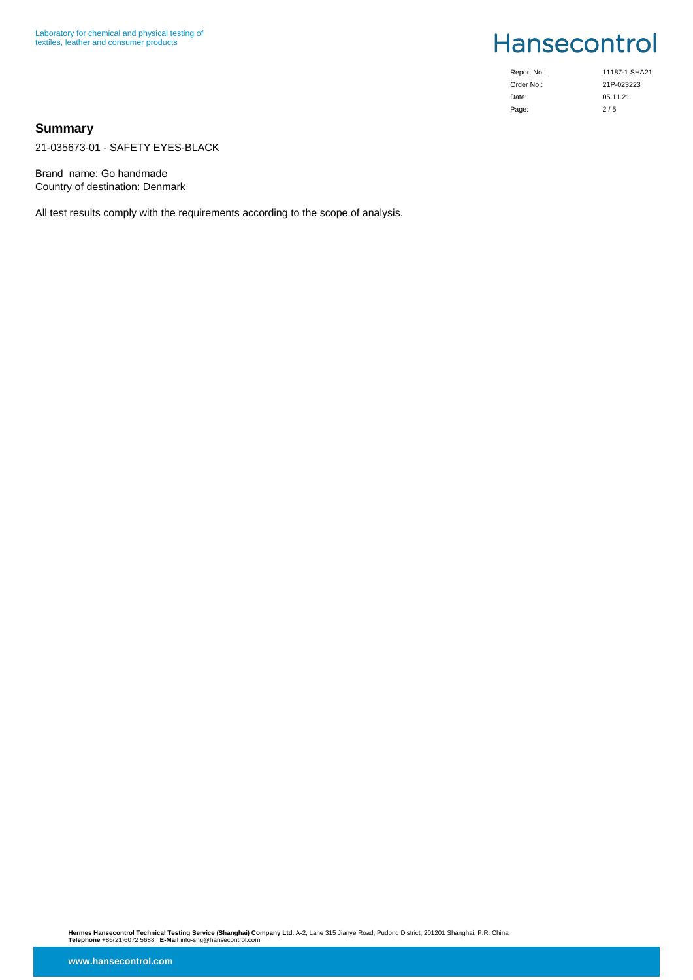| Report No.: | 11187-1 SHA21 |
|-------------|---------------|
| Order No.:  | 21P-023223    |
| Date:       | 05.11.21      |
| Page:       | 2/5           |

### **Summary**

21-035673-01 - SAFETY EYES-BLACK

Brand name: Go handmade Country of destination: Denmark

All test results comply with the requirements according to the scope of analysis.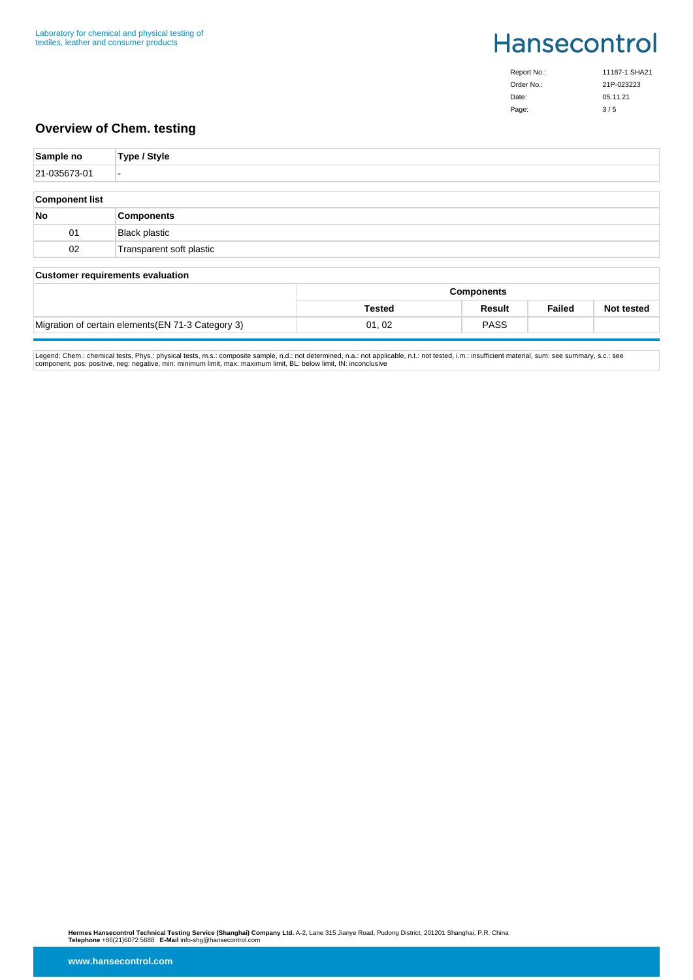| Report No.: | 11187-1 SHA21 |
|-------------|---------------|
| Order No.:  | 21P-023223    |
| Date:       | 05.11.21      |
| Page:       | 3/5           |

## **Overview of Chem. testing**

| Sample no             | Type / Style             |
|-----------------------|--------------------------|
| 21-035673-01          | $\overline{\phantom{a}}$ |
|                       |                          |
| <b>Component list</b> |                          |
| No                    | <b>Components</b>        |
| 01                    | <b>Black plastic</b>     |
| 02                    | Transparent soft plastic |
|                       |                          |

#### **Customer requirements evaluation**

|                                                    | <b>Components</b> |             |               |                   |
|----------------------------------------------------|-------------------|-------------|---------------|-------------------|
|                                                    | <b>Tested</b>     | Result      | <b>Failed</b> | <b>Not tested</b> |
| Migration of certain elements (EN 71-3 Category 3) | 01,02             | <b>PASS</b> |               |                   |

Legend: Chem.: chemical tests, Phys.: physical tests, m.s.: composite sample, n.d.: not determined, n.a.: not applicable, n.t.: not tested, i.m.: insufficient material, sum: see summary, s.c.: see<br>component, pos: positive,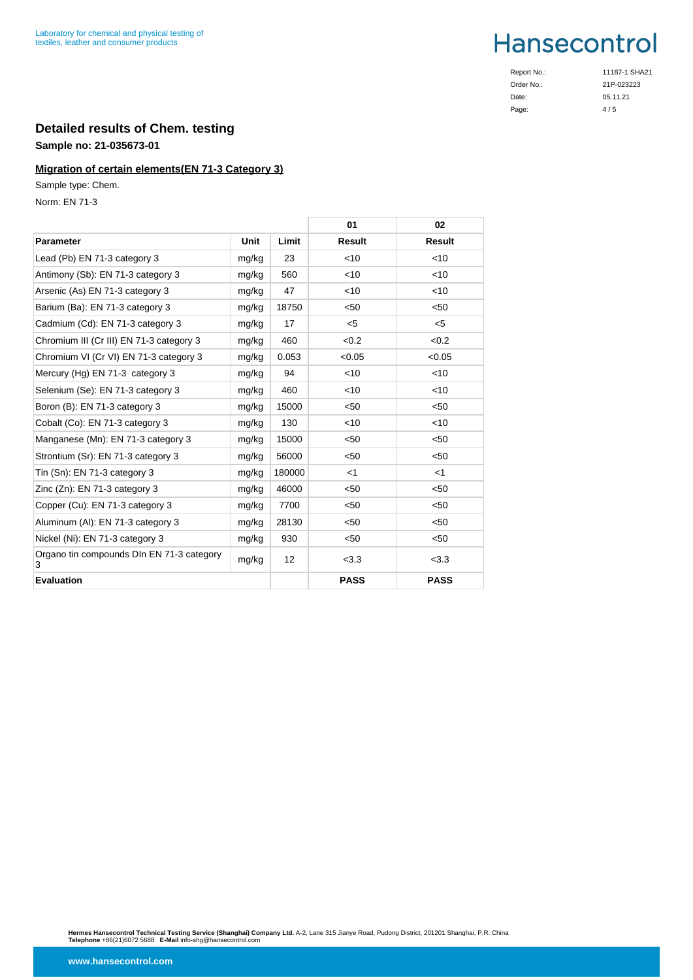Order No.: Date: Page:

Report No.: 11187-1 SHA21 21P-023223 05.11.21  $4/5$ 

# **Detailed results of Chem. testing**

## **Sample no: 21-035673-01**

## **Migration of certain elements(EN 71-3 Category 3)**

Sample type: Chem.

Norm: EN 71-3

|                                                |       |        | 01            | 02            |
|------------------------------------------------|-------|--------|---------------|---------------|
| <b>Parameter</b>                               | Unit  | Limit  | <b>Result</b> | <b>Result</b> |
| Lead (Pb) EN 71-3 category 3                   | mg/kg | 23     | <10           | $<$ 10        |
| Antimony (Sb): EN 71-3 category 3              | mg/kg | 560    | $<$ 10        | $<$ 10        |
| Arsenic (As) EN 71-3 category 3                | mg/kg | 47     | $<$ 10        | $<$ 10        |
| Barium (Ba): EN 71-3 category 3                | mg/kg | 18750  | $50$          | < 50          |
| Cadmium (Cd): EN 71-3 category 3               | mg/kg | 17     | $5$           | $<$ 5         |
| Chromium III (Cr III) EN 71-3 category 3       | mg/kg | 460    | < 0.2         | < 0.2         |
| Chromium VI (Cr VI) EN 71-3 category 3         | mg/kg | 0.053  | < 0.05        | < 0.05        |
| Mercury (Hg) EN 71-3 category 3                | mg/kg | 94     | $<$ 10        | $<$ 10        |
| Selenium (Se): EN 71-3 category 3              | mg/kg | 460    | $<$ 10        | $<$ 10        |
| Boron (B): EN 71-3 category 3                  | mg/kg | 15000  | $50$          | < 50          |
| Cobalt (Co): EN 71-3 category 3                | mg/kg | 130    | $<$ 10        | $<$ 10        |
| Manganese (Mn): EN 71-3 category 3             | mg/kg | 15000  | < 50          | < 50          |
| Strontium (Sr): EN 71-3 category 3             | mg/kg | 56000  | $50$          | < 50          |
| Tin (Sn): EN 71-3 category 3                   | mg/kg | 180000 | $<$ 1         | $<$ 1         |
| Zinc (Zn): EN 71-3 category 3                  | mg/kg | 46000  | < 50          | < 50          |
| Copper (Cu): EN 71-3 category 3                | mg/kg | 7700   | < 50          | < 50          |
| Aluminum (AI): EN 71-3 category 3              | mg/kg | 28130  | < 50          | < 50          |
| Nickel (Ni): EN 71-3 category 3                | mg/kg | 930    | < 50          | < 50          |
| Organo tin compounds DIn EN 71-3 category<br>3 | mg/kg | 12     | < 3.3         | < 3.3         |
| <b>Evaluation</b>                              |       |        | <b>PASS</b>   | <b>PASS</b>   |